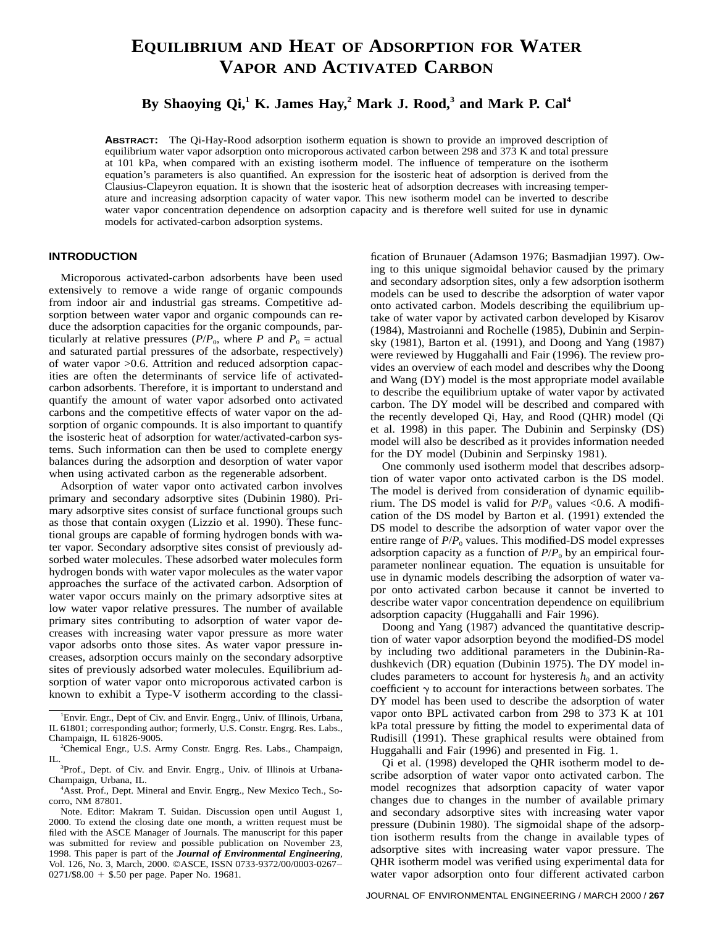# **EQUILIBRIUM AND HEAT OF ADSORPTION FOR WATER VAPOR AND ACTIVATED CARBON**

**By Shaoying Qi,1 K. James Hay,<sup>2</sup> Mark J. Rood,3 and Mark P. Cal<sup>4</sup>**

**ABSTRACT:** The Qi-Hay-Rood adsorption isotherm equation is shown to provide an improved description of equilibrium water vapor adsorption onto microporous activated carbon between 298 and 373 K and total pressure at 101 kPa, when compared with an existing isotherm model. The influence of temperature on the isotherm equation's parameters is also quantified. An expression for the isosteric heat of adsorption is derived from the Clausius-Clapeyron equation. It is shown that the isosteric heat of adsorption decreases with increasing temperature and increasing adsorption capacity of water vapor. This new isotherm model can be inverted to describe water vapor concentration dependence on adsorption capacity and is therefore well suited for use in dynamic models for activated-carbon adsorption systems.

## **INTRODUCTION**

Microporous activated-carbon adsorbents have been used extensively to remove a wide range of organic compounds from indoor air and industrial gas streams. Competitive adsorption between water vapor and organic compounds can reduce the adsorption capacities for the organic compounds, particularly at relative pressures ( $P/P_0$ , where *P* and  $P_0$  = actual and saturated partial pressures of the adsorbate, respectively) of water vapor >0.6. Attrition and reduced adsorption capacities are often the determinants of service life of activatedcarbon adsorbents. Therefore, it is important to understand and quantify the amount of water vapor adsorbed onto activated carbons and the competitive effects of water vapor on the adsorption of organic compounds. It is also important to quantify the isosteric heat of adsorption for water/activated-carbon systems. Such information can then be used to complete energy balances during the adsorption and desorption of water vapor when using activated carbon as the regenerable adsorbent.

Adsorption of water vapor onto activated carbon involves primary and secondary adsorptive sites (Dubinin 1980). Primary adsorptive sites consist of surface functional groups such as those that contain oxygen (Lizzio et al. 1990). These functional groups are capable of forming hydrogen bonds with water vapor. Secondary adsorptive sites consist of previously adsorbed water molecules. These adsorbed water molecules form hydrogen bonds with water vapor molecules as the water vapor approaches the surface of the activated carbon. Adsorption of water vapor occurs mainly on the primary adsorptive sites at low water vapor relative pressures. The number of available primary sites contributing to adsorption of water vapor decreases with increasing water vapor pressure as more water vapor adsorbs onto those sites. As water vapor pressure increases, adsorption occurs mainly on the secondary adsorptive sites of previously adsorbed water molecules. Equilibrium adsorption of water vapor onto microporous activated carbon is known to exhibit a Type-V isotherm according to the classification of Brunauer (Adamson 1976; Basmadjian 1997). Owing to this unique sigmoidal behavior caused by the primary and secondary adsorption sites, only a few adsorption isotherm models can be used to describe the adsorption of water vapor onto activated carbon. Models describing the equilibrium uptake of water vapor by activated carbon developed by Kisarov (1984), Mastroianni and Rochelle (1985), Dubinin and Serpinsky (1981), Barton et al. (1991), and Doong and Yang (1987) were reviewed by Huggahalli and Fair (1996). The review provides an overview of each model and describes why the Doong and Wang (DY) model is the most appropriate model available to describe the equilibrium uptake of water vapor by activated carbon. The DY model will be described and compared with the recently developed Qi, Hay, and Rood (QHR) model (Qi et al. 1998) in this paper. The Dubinin and Serpinsky (DS) model will also be described as it provides information needed for the DY model (Dubinin and Serpinsky 1981).

One commonly used isotherm model that describes adsorption of water vapor onto activated carbon is the DS model. The model is derived from consideration of dynamic equilibrium. The DS model is valid for  $P/P_0$  values <0.6. A modification of the DS model by Barton et al. (1991) extended the DS model to describe the adsorption of water vapor over the entire range of  $P/P_0$  values. This modified-DS model expresses adsorption capacity as a function of  $P/P_0$  by an empirical fourparameter nonlinear equation. The equation is unsuitable for use in dynamic models describing the adsorption of water vapor onto activated carbon because it cannot be inverted to describe water vapor concentration dependence on equilibrium adsorption capacity (Huggahalli and Fair 1996).

Doong and Yang (1987) advanced the quantitative description of water vapor adsorption beyond the modified-DS model by including two additional parameters in the Dubinin-Radushkevich (DR) equation (Dubinin 1975). The DY model includes parameters to account for hysteresis  $h_0$  and an activity coefficient  $\gamma$  to account for interactions between sorbates. The DY model has been used to describe the adsorption of water vapor onto BPL activated carbon from 298 to 373 K at 101 kPa total pressure by fitting the model to experimental data of Rudisill (1991). These graphical results were obtained from Huggahalli and Fair (1996) and presented in Fig. 1.

Qi et al. (1998) developed the QHR isotherm model to describe adsorption of water vapor onto activated carbon. The model recognizes that adsorption capacity of water vapor changes due to changes in the number of available primary and secondary adsorptive sites with increasing water vapor pressure (Dubinin 1980). The sigmoidal shape of the adsorption isotherm results from the change in available types of adsorptive sites with increasing water vapor pressure. The QHR isotherm model was verified using experimental data for water vapor adsorption onto four different activated carbon

<sup>&</sup>lt;sup>1</sup>Envir. Engr., Dept of Civ. and Envir. Engrg., Univ. of Illinois, Urbana, IL 61801; corresponding author; formerly, U.S. Constr. Engrg. Res. Labs., Champaign, IL 61826-9005. <sup>2</sup>

<sup>&</sup>lt;sup>2</sup>Chemical Engr., U.S. Army Constr. Engrg. Res. Labs., Champaign,  $IL$ 

<sup>&</sup>lt;sup>3</sup>Prof., Dept. of Civ. and Envir. Engrg., Univ. of Illinois at Urbana-Champaign, Urbana, IL. <sup>4</sup>

Asst. Prof., Dept. Mineral and Envir. Engrg., New Mexico Tech., Socorro, NM 87801.

Note. Editor: Makram T. Suidan. Discussion open until August 1, 2000. To extend the closing date one month, a written request must be filed with the ASCE Manager of Journals. The manuscript for this paper was submitted for review and possible publication on November 23, 1998. This paper is part of the *Journal of Environmental Engineering*, Vol. 126, No. 3, March, 2000. ©ASCE, ISSN 0733-9372/00/0003-0267- $0271/\$8.00 + $.50$  per page. Paper No. 19681.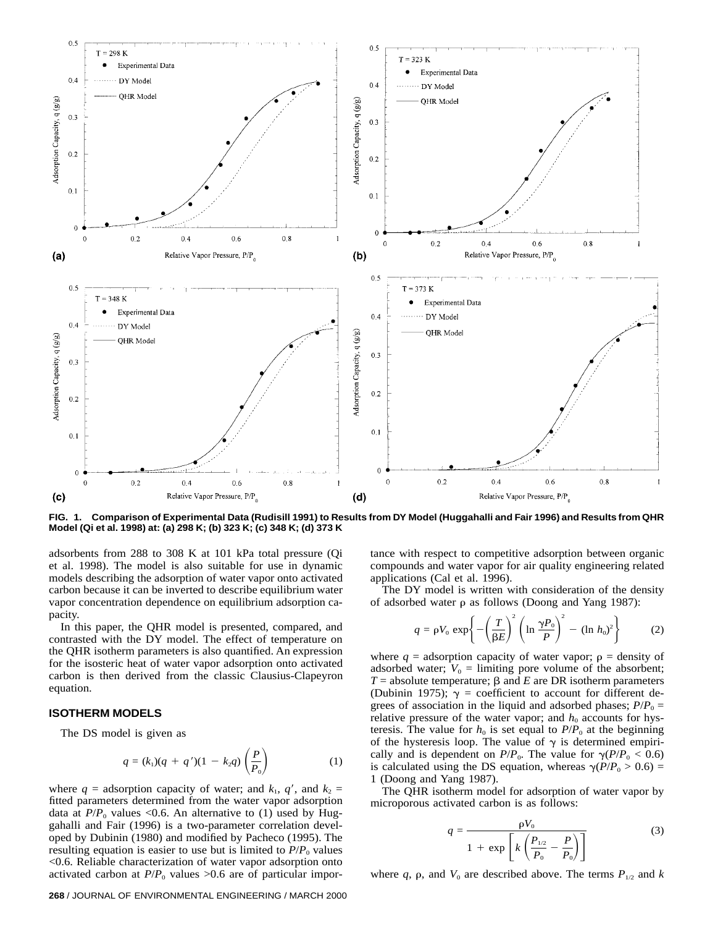

**FIG. 1. Comparison of Experimental Data (Rudisill 1991) to Results from DY Model (Huggahalli and Fair 1996) and Results from QHR Model (Qi et al. 1998) at: (a) 298 K; (b) 323 K; (c) 348 K; (d) 373 K**

adsorbents from 288 to 308 K at 101 kPa total pressure (Qi et al. 1998). The model is also suitable for use in dynamic models describing the adsorption of water vapor onto activated carbon because it can be inverted to describe equilibrium water vapor concentration dependence on equilibrium adsorption capacity.

In this paper, the QHR model is presented, compared, and contrasted with the DY model. The effect of temperature on the QHR isotherm parameters is also quantified. An expression for the isosteric heat of water vapor adsorption onto activated carbon is then derived from the classic Clausius-Clapeyron equation.

#### **ISOTHERM MODELS**

The DS model is given as

$$
q = (k_1)(q + q')(1 - k_2q) \left(\frac{P}{P_0}\right)
$$
 (1)

where  $q =$  adsorption capacity of water; and  $k_1$ ,  $q'$ , and  $k_2 =$ fitted parameters determined from the water vapor adsorption data at  $P/P_0$  values <0.6. An alternative to (1) used by Huggahalli and Fair (1996) is a two-parameter correlation developed by Dubinin (1980) and modified by Pacheco (1995). The resulting equation is easier to use but is limited to  $P/P_0$  values <0.6. Reliable characterization of water vapor adsorption onto activated carbon at  $P/P_0$  values >0.6 are of particular impor-

#### **268** / JOURNAL OF ENVIRONMENTAL ENGINEERING / MARCH 2000

tance with respect to competitive adsorption between organic compounds and water vapor for air quality engineering related applications (Cal et al. 1996).

The DY model is written with consideration of the density of adsorbed water  $\rho$  as follows (Doong and Yang 1987):

$$
q = \rho V_0 \exp\left\{-\left(\frac{T}{\beta E}\right)^2 \left(\ln \frac{\gamma P_0}{P}\right)^2 - (\ln h_0)^2\right\}
$$
 (2)

where  $q =$  adsorption capacity of water vapor;  $p =$  density of adsorbed water;  $V_0 =$  limiting pore volume of the absorbent;  $T =$  absolute temperature;  $\beta$  and *E* are DR isotherm parameters (Dubinin 1975);  $\gamma$  = coefficient to account for different degrees of association in the liquid and adsorbed phases;  $P/P_0 =$ relative pressure of the water vapor; and  $h_0$  accounts for hysteresis. The value for  $h_0$  is set equal to  $P/P_0$  at the beginning of the hysteresis loop. The value of  $\gamma$  is determined empirically and is dependent on  $P/P_0$ . The value for  $\gamma(P/P_0 < 0.6)$ is calculated using the DS equation, whereas  $\gamma(P/P_0 > 0.6)$  = 1 (Doong and Yang 1987).

The QHR isotherm model for adsorption of water vapor by microporous activated carbon is as follows:

$$
q = \frac{\rho V_0}{1 + \exp\left[k\left(\frac{P_{1/2}}{P_0} - \frac{P}{P_0}\right)\right]}
$$
(3)

where  $q$ ,  $\rho$ , and  $V_0$  are described above. The terms  $P_{1/2}$  and  $k$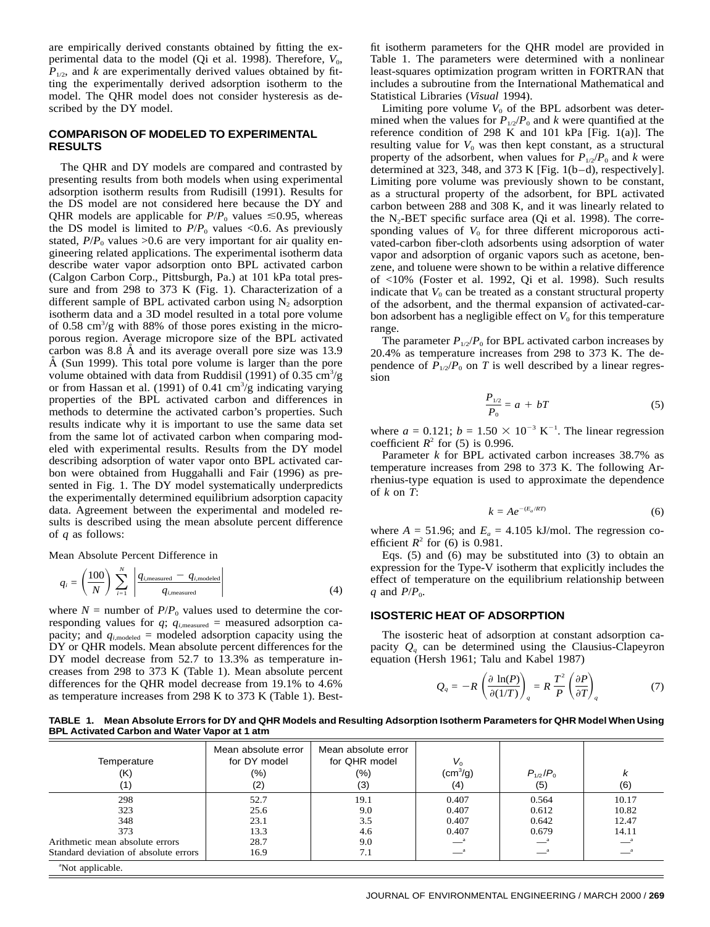are empirically derived constants obtained by fitting the experimental data to the model (Qi et al. 1998). Therefore,  $V_0$ ,  $P_{1/2}$ , and *k* are experimentally derived values obtained by fitting the experimentally derived adsorption isotherm to the model. The QHR model does not consider hysteresis as described by the DY model.

## **COMPARISON OF MODELED TO EXPERIMENTAL RESULTS**

The QHR and DY models are compared and contrasted by presenting results from both models when using experimental adsorption isotherm results from Rudisill (1991). Results for the DS model are not considered here because the DY and QHR models are applicable for  $P/P_0$  values  $\leq 0.95$ , whereas the DS model is limited to  $P/P_0$  values <0.6. As previously stated,  $P/P_0$  values >0.6 are very important for air quality engineering related applications. The experimental isotherm data describe water vapor adsorption onto BPL activated carbon (Calgon Carbon Corp., Pittsburgh, Pa.) at 101 kPa total pressure and from 298 to 373 K (Fig. 1). Characterization of a different sample of BPL activated carbon using  $N_2$  adsorption isotherm data and a 3D model resulted in a total pore volume of 0.58 cm<sup>3</sup>/g with 88% of those pores existing in the microporous region. Average micropore size of the BPL activated carbon was 8.8 A and its average overall pore size was 13.9 A (Sun 1999). This total pore volume is larger than the pore volume obtained with data from Ruddisil (1991) of  $0.35 \text{ cm}^3/\text{g}$ or from Hassan et al. (1991) of 0.41  $\text{cm}^3/\text{g}$  indicating varying properties of the BPL activated carbon and differences in methods to determine the activated carbon's properties. Such results indicate why it is important to use the same data set from the same lot of activated carbon when comparing modeled with experimental results. Results from the DY model describing adsorption of water vapor onto BPL activated carbon were obtained from Huggahalli and Fair (1996) as presented in Fig. 1. The DY model systematically underpredicts the experimentally determined equilibrium adsorption capacity data. Agreement between the experimental and modeled results is described using the mean absolute percent difference of *q* as follows:

Mean Absolute Percent Difference in

$$
q_i = \left(\frac{100}{N}\right) \sum_{i=1}^{N} \left| \frac{q_{i,\text{measured}} - q_{i,\text{modeled}}}{q_{i,\text{measured}}} \right|
$$
 (4)

where  $N =$  number of  $P/P_0$  values used to determine the corresponding values for  $q$ ;  $q_{i,\text{measured}}$  = measured adsorption capacity; and  $q_{i,\text{modeled}} = \text{modeled }$  adsorption capacity using the DY or QHR models. Mean absolute percent differences for the DY model decrease from 52.7 to 13.3% as temperature increases from 298 to 373 K (Table 1). Mean absolute percent differences for the QHR model decrease from 19.1% to 4.6% as temperature increases from 298 K to 373 K (Table 1). Bestfit isotherm parameters for the QHR model are provided in Table 1. The parameters were determined with a nonlinear least-squares optimization program written in FORTRAN that includes a subroutine from the International Mathematical and Statistical Libraries (*Visual* 1994).

Limiting pore volume  $V_0$  of the BPL adsorbent was determined when the values for  $P_{1/2}/P_0$  and *k* were quantified at the reference condition of 298 K and 101 kPa [Fig. 1(a)]. The resulting value for  $V_0$  was then kept constant, as a structural property of the adsorbent, when values for  $P_{1/2}/P_0$  and *k* were determined at 323, 348, and 373 K [Fig. 1(b–d), respectively]. Limiting pore volume was previously shown to be constant, as a structural property of the adsorbent, for BPL activated carbon between 288 and 308 K, and it was linearly related to the  $N_2$ -BET specific surface area (Qi et al. 1998). The corresponding values of  $V_0$  for three different microporous activated-carbon fiber-cloth adsorbents using adsorption of water vapor and adsorption of organic vapors such as acetone, benzene, and toluene were shown to be within a relative difference of <10% (Foster et al. 1992, Qi et al. 1998). Such results indicate that  $V_0$  can be treated as a constant structural property of the adsorbent, and the thermal expansion of activated-carbon adsorbent has a negligible effect on  $V_0$  for this temperature range.

The parameter  $P_{1/2}/P_0$  for BPL activated carbon increases by 20.4% as temperature increases from 298 to 373 K. The dependence of  $\overline{P}_{1/2}/P_0$  on *T* is well described by a linear regression

$$
\frac{P_{1/2}}{P_0} = a + bT
$$
 (5)

where  $a = 0.121$ ;  $b = 1.50 \times 10^{-3} \text{ K}^{-1}$ . The linear regression coefficient  $R^2$  for (5) is 0.996.

Parameter *k* for BPL activated carbon increases 38.7% as temperature increases from 298 to 373 K. The following Arrhenius-type equation is used to approximate the dependence of *k* on *T*:

$$
k = Ae^{-(E_a/RT)}
$$
 (6)

where  $A = 51.96$ ; and  $E_a = 4.105$  kJ/mol. The regression coefficient  $R^2$  for (6) is 0.981.

Eqs. (5) and (6) may be substituted into (3) to obtain an expression for the Type-V isotherm that explicitly includes the effect of temperature on the equilibrium relationship between *q* and  $P/P<sub>0</sub>$ .

## **ISOSTERIC HEAT OF ADSORPTION**

The isosteric heat of adsorption at constant adsorption capacity  $Q_a$  can be determined using the Clausius-Clapeyron equation (Hersh 1961; Talu and Kabel 1987)

$$
Q_q = -R \left( \frac{\partial \ln(P)}{\partial (1/T)} \right)_q = R \frac{T^2}{P} \left( \frac{\partial P}{\partial T} \right)_q \tag{7}
$$

**TABLE 1. Mean Absolute Errors for DY and QHR Models and Resulting Adsorption Isotherm Parameters for QHR Model When Using BPL Activated Carbon and Water Vapor at 1 atm**

| Temperature<br>(K)                    | Mean absolute error<br>for DY model<br>(%)<br>(2) | Mean absolute error<br>for QHR model<br>(%)<br>(3) | V.<br>$\rm (cm^3/g)$<br>(4) | $P_{1/2}/P_0$<br>(5) | n<br>(6) |
|---------------------------------------|---------------------------------------------------|----------------------------------------------------|-----------------------------|----------------------|----------|
| 298                                   | 52.7                                              | 19.1                                               | 0.407                       | 0.564                | 10.17    |
| 323                                   | 25.6                                              | 9.0                                                | 0.407                       | 0.612                | 10.82    |
| 348                                   | 23.1                                              | 3.5                                                | 0.407                       | 0.642                | 12.47    |
| 373                                   | 13.3                                              | 4.6                                                | 0.407                       | 0.679                | 14.11    |
| Arithmetic mean absolute errors       | 28.7                                              | 9.0                                                |                             | — '                  |          |
| Standard deviation of absolute errors | 16.9                                              | 7.1                                                |                             |                      |          |

a Not applicable.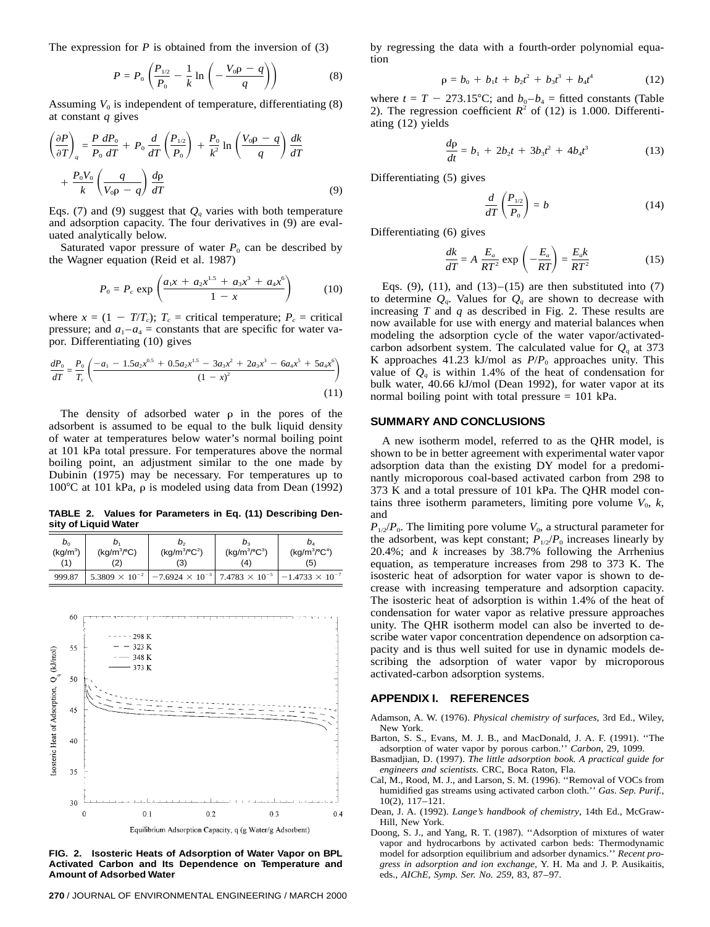The expression for  $P$  is obtained from the inversion of  $(3)$ 

$$
P = P_0 \left( \frac{P_{1/2}}{P_0} - \frac{1}{k} \ln \left( -\frac{V_0 \rho - q}{q} \right) \right)
$$
 (8)

Assuming  $V_0$  is independent of temperature, differentiating  $(8)$ at constant *q* gives

$$
\left(\frac{\partial P}{\partial T}\right)_q = \frac{P}{P_0} \frac{dP_0}{dT} + P_0 \frac{d}{dT} \left(\frac{P_{1/2}}{P_0}\right) + \frac{P_0}{k^2} \ln\left(\frac{V_0 \rho - q}{q}\right) \frac{dk}{dT}
$$

$$
+ \frac{P_0 V_0}{k} \left(\frac{q}{V_0 \rho - q}\right) \frac{d\rho}{dT}
$$
(9)

Eqs. (7) and (9) suggest that  $Q_q$  varies with both temperature and adsorption capacity. The four derivatives in (9) are evaluated analytically below.

Saturated vapor pressure of water  $P_0$  can be described by the Wagner equation (Reid et al. 1987)

$$
P_0 = P_c \exp\left(\frac{a_1 x + a_2 x^{1.5} + a_3 x^3 + a_4 x^6}{1 - x}\right) \tag{10}
$$

where  $x = (1 - T/T_c)$ ;  $T_c$  = critical temperature;  $P_c$  = critical pressure; and  $a_1 - a_4$  = constants that are specific for water vapor. Differentiating (10) gives

$$
\frac{dP_0}{dT} = \frac{P_0}{T_c} \left( \frac{-a_1 - 1.5a_2x^{0.5} + 0.5a_2x^{1.5} - 3a_3x^2 + 2a_3x^3 - 6a_4x^5 + 5a_4x^6}{(1 - x)^2} \right)
$$
\n(11)

The density of adsorbed water  $\rho$  in the pores of the adsorbent is assumed to be equal to the bulk liquid density of water at temperatures below water's normal boiling point at 101 kPa total pressure. For temperatures above the normal boiling point, an adjustment similar to the one made by Dubinin (1975) may be necessary. For temperatures up to  $100^{\circ}$ C at 101 kPa,  $\rho$  is modeled using data from Dean (1992)

**TABLE 2. Values for Parameters in Eq. (11) Describing Density of Liquid Water**

| $b_{0}$<br>(kg/m <sup>3</sup> )<br>(1) | (kq/m <sup>3</sup> / <sup>o</sup> C)<br>(2 | p,<br>$(kq/m^{3}/^{\circ}C^{2})$<br>(3)          | p.<br>$(kg/m^{3}/^{\circ}C^{3})$<br>(4) | D.<br>$(kq/m^{3}/^{\circ}C^{4})$<br>(5) |
|----------------------------------------|--------------------------------------------|--------------------------------------------------|-----------------------------------------|-----------------------------------------|
| 999.87                                 | $5.3809 \times 10^{-2}$                    | $-7.6924 \times 10^{-3}$ 7.4783 $\times 10^{-5}$ |                                         | $-1.4733 \times 10^{-7}$                |



**FIG. 2. Isosteric Heats of Adsorption of Water Vapor on BPL Activated Carbon and Its Dependence on Temperature and Amount of Adsorbed Water**

**270** / JOURNAL OF ENVIRONMENTAL ENGINEERING / MARCH 2000

by regressing the data with a fourth-order polynomial equation

$$
\rho = b_0 + b_1 t + b_2 t^2 + b_3 t^3 + b_4 t^4 \tag{12}
$$

where  $t = T - 273.15^{\circ}\text{C}$ ; and  $b_0 - b_4$  = fitted constants (Table 2). The regression coefficient  $R^2$  of (12) is 1.000. Differentiating (12) yields

$$
\frac{d\rho}{dt} = b_1 + 2b_2t + 3b_3t^2 + 4b_4t^3 \tag{13}
$$

Differentiating (5) gives

$$
\frac{d}{dT}\left(\frac{P_{1/2}}{P_0}\right) = b \tag{14}
$$

Differentiating (6) gives

$$
\frac{dk}{dT} = A \frac{E_a}{RT^2} \exp\left(-\frac{E_a}{RT}\right) = \frac{E_a k}{RT^2}
$$
(15)

Eqs.  $(9)$ ,  $(11)$ , and  $(13)$ – $(15)$  are then substituted into  $(7)$ to determine  $Q_a$ . Values for  $Q_a$  are shown to decrease with increasing *T* and *q* as described in Fig. 2. These results are now available for use with energy and material balances when modeling the adsorption cycle of the water vapor/activatedcarbon adsorbent system. The calculated value for  $Q_q$  at 373 K approaches  $41.23$  kJ/mol as  $P/P<sub>0</sub>$  approaches unity. This value of  $Q_q$  is within 1.4% of the heat of condensation for bulk water, 40.66 kJ/mol (Dean 1992), for water vapor at its normal boiling point with total pressure = 101 kPa.

#### **SUMMARY AND CONCLUSIONS**

A new isotherm model, referred to as the QHR model, is shown to be in better agreement with experimental water vapor adsorption data than the existing DY model for a predominantly microporous coal-based activated carbon from 298 to 373 K and a total pressure of 101 kPa. The QHR model contains three isotherm parameters, limiting pore volume  $V_0$ ,  $k$ , and

 $P_{1/2}/P_0$ . The limiting pore volume  $V_0$ , a structural parameter for the adsorbent, was kept constant;  $P_{1/2}/P_0$  increases linearly by 20.4%; and *k* increases by 38.7% following the Arrhenius equation, as temperature increases from 298 to 373 K. The isosteric heat of adsorption for water vapor is shown to decrease with increasing temperature and adsorption capacity. The isosteric heat of adsorption is within 1.4% of the heat of condensation for water vapor as relative pressure approaches unity. The QHR isotherm model can also be inverted to describe water vapor concentration dependence on adsorption capacity and is thus well suited for use in dynamic models describing the adsorption of water vapor by microporous activated-carbon adsorption systems.

#### **APPENDIX I. REFERENCES**

- Adamson, A. W. (1976). *Physical chemistry of surfaces*, 3rd Ed., Wiley, New York.
- Barton, S. S., Evans, M. J. B., and MacDonald, J. A. F. (1991). ''The adsorption of water vapor by porous carbon.'' *Carbon*, 29, 1099.
- Basmadjian, D. (1997). *The little adsorption book. A practical guide for engineers and scientists.* CRC, Boca Raton, Fla.
- Cal, M., Rood, M. J., and Larson, S. M. (1996). ''Removal of VOCs from humidified gas streams using activated carbon cloth.'' *Gas. Sep. Purif.*, 10(2), 117–121.
- Dean, J. A. (1992). *Lange's handbook of chemistry*, 14th Ed., McGraw-Hill, New York.
- Doong, S. J., and Yang, R. T. (1987). ''Adsorption of mixtures of water vapor and hydrocarbons by activated carbon beds: Thermodynamic model for adsorption equilibrium and adsorber dynamics.'' *Recent progress in adsorption and ion exchange*, Y. H. Ma and J. P. Ausikaitis, eds., *AIChE, Symp. Ser. No. 259*, 83, 87–97.